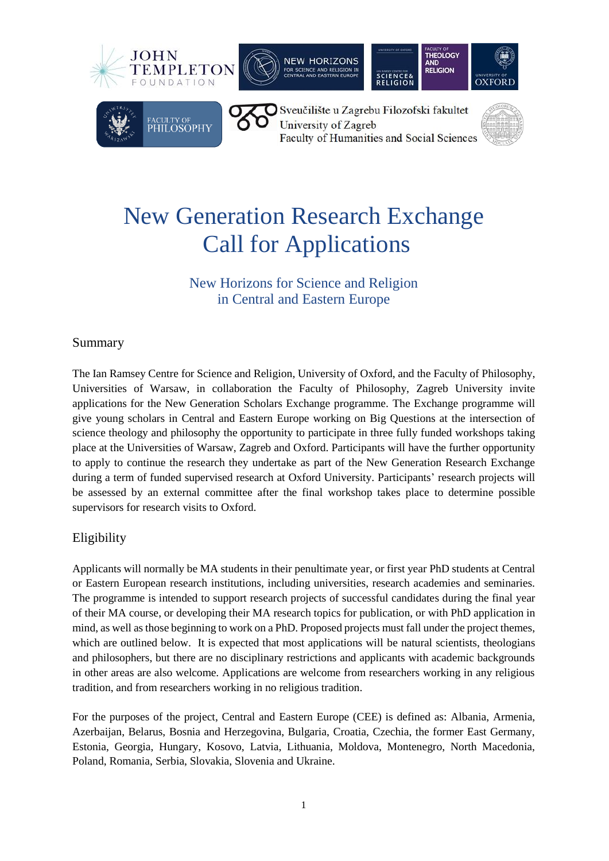







Sveučilište u Zagrebu Filozofski fakultet University of Zagreb Faculty of Humanities and Social Sciences

**SCIENCE&**<br>RELIGION



# New Generation Research Exchange Call for Applications

## New Horizons for Science and Religion in Central and Eastern Europe

### Summary

The Ian Ramsey Centre for Science and Religion, University of Oxford, and the Faculty of Philosophy, Universities of Warsaw, in collaboration the Faculty of Philosophy, Zagreb University invite applications for the New Generation Scholars Exchange programme. The Exchange programme will give young scholars in Central and Eastern Europe working on Big Questions at the intersection of science theology and philosophy the opportunity to participate in three fully funded workshops taking place at the Universities of Warsaw, Zagreb and Oxford. Participants will have the further opportunity to apply to continue the research they undertake as part of the New Generation Research Exchange during a term of funded supervised research at Oxford University. Participants' research projects will be assessed by an external committee after the final workshop takes place to determine possible supervisors for research visits to Oxford.

### Eligibility

Applicants will normally be MA students in their penultimate year, or first year PhD students at Central or Eastern European research institutions, including universities, research academies and seminaries. The programme is intended to support research projects of successful candidates during the final year of their MA course, or developing their MA research topics for publication, or with PhD application in mind, as well as those beginning to work on a PhD. Proposed projects must fall under the project themes, which are outlined below. It is expected that most applications will be natural scientists, theologians and philosophers, but there are no disciplinary restrictions and applicants with academic backgrounds in other areas are also welcome. Applications are welcome from researchers working in any religious tradition, and from researchers working in no religious tradition.

For the purposes of the project, Central and Eastern Europe (CEE) is defined as: Albania, Armenia, Azerbaijan, Belarus, Bosnia and Herzegovina, Bulgaria, Croatia, Czechia, the former East Germany, Estonia, Georgia, Hungary, Kosovo, Latvia, Lithuania, Moldova, Montenegro, North Macedonia, Poland, Romania, Serbia, Slovakia, Slovenia and Ukraine.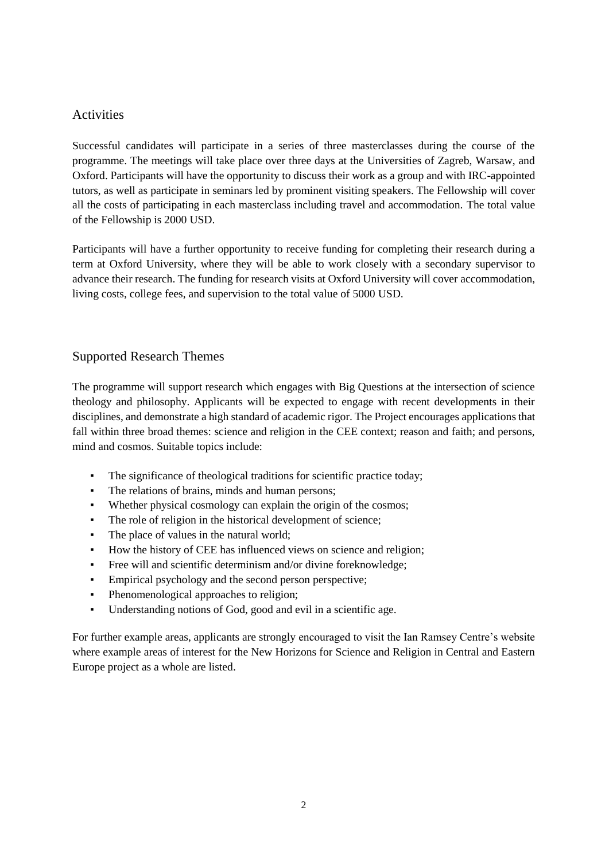#### Activities

Successful candidates will participate in a series of three masterclasses during the course of the programme. The meetings will take place over three days at the Universities of Zagreb, Warsaw, and Oxford. Participants will have the opportunity to discuss their work as a group and with IRC-appointed tutors, as well as participate in seminars led by prominent visiting speakers. The Fellowship will cover all the costs of participating in each masterclass including travel and accommodation. The total value of the Fellowship is 2000 USD.

Participants will have a further opportunity to receive funding for completing their research during a term at Oxford University, where they will be able to work closely with a secondary supervisor to advance their research. The funding for research visits at Oxford University will cover accommodation, living costs, college fees, and supervision to the total value of 5000 USD.

#### Supported Research Themes

The programme will support research which engages with Big Questions at the intersection of science theology and philosophy. Applicants will be expected to engage with recent developments in their disciplines, and demonstrate a high standard of academic rigor. The Project encourages applications that fall within three broad themes: science and religion in the CEE context; reason and faith; and persons, mind and cosmos. Suitable topics include:

- The significance of theological traditions for scientific practice today;
- The relations of brains, minds and human persons;
- Whether physical cosmology can explain the origin of the cosmos;
- The role of religion in the historical development of science;
- The place of values in the natural world;
- How the history of CEE has influenced views on science and religion;
- Free will and scientific determinism and/or divine foreknowledge;
- Empirical psychology and the second person perspective;
- Phenomenological approaches to religion;
- Understanding notions of God, good and evil in a scientific age.

For further example areas, applicants are strongly encouraged to visit the Ian Ramsey Centre's website where example areas of interest for the New Horizons for Science and Religion in Central and Eastern Europe project as a whole are listed.